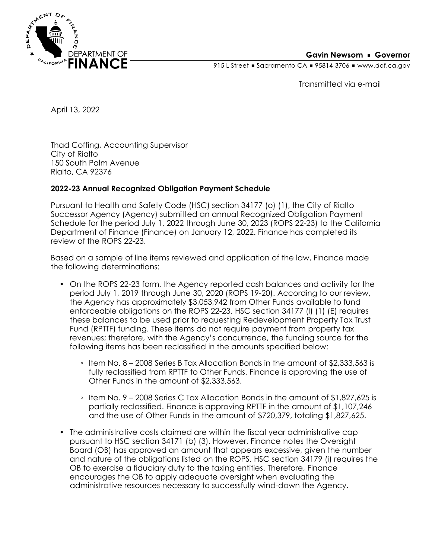

### **Gavin Newsom • Governor**

915 L Street Gacramento CA = 95814-3706 Www.dof.ca.gov

Transmitted via e-mail

April 13, 2022

Thad Coffing, Accounting Supervisor City of Rialto 150 South Palm Avenue Rialto, CA 92376

## **2022-23 Annual Recognized Obligation Payment Schedule**

Pursuant to Health and Safety Code (HSC) section 34177 (o) (1), the City of Rialto Successor Agency (Agency) submitted an annual Recognized Obligation Payment Schedule for the period July 1, 2022 through June 30, 2023 (ROPS 22-23) to the California Department of Finance (Finance) on January 12, 2022. Finance has completed its review of the ROPS 22-23.

Based on a sample of line items reviewed and application of the law, Finance made the following determinations:

- On the ROPS 22-23 form, the Agency reported cash balances and activity for the period July 1, 2019 through June 30, 2020 (ROPS 19-20). According to our review, the Agency has approximately \$3,053,942 from Other Funds available to fund enforceable obligations on the ROPS 22-23. HSC section 34177 (l) (1) (E) requires these balances to be used prior to requesting Redevelopment Property Tax Trust Fund (RPTTF) funding. These items do not require payment from property tax revenues; therefore, with the Agency's concurrence, the funding source for the following items has been reclassified in the amounts specified below:
	- Item No. 8 2008 Series B Tax Allocation Bonds in the amount of \$2,333,563 is fully reclassified from RPTTF to Other Funds. Finance is approving the use of Other Funds in the amount of \$2,333,563.
	- Item No. 9 2008 Series C Tax Allocation Bonds in the amount of \$1,827,625 is partially reclassified. Finance is approving RPTTF in the amount of \$1,107,246 and the use of Other Funds in the amount of \$720,379, totaling \$1,827,625.
- The administrative costs claimed are within the fiscal year administrative cap pursuant to HSC section 34171 (b) (3). However, Finance notes the Oversight Board (OB) has approved an amount that appears excessive, given the number and nature of the obligations listed on the ROPS. HSC section 34179 (i) requires the OB to exercise a fiduciary duty to the taxing entities. Therefore, Finance encourages the OB to apply adequate oversight when evaluating the administrative resources necessary to successfully wind-down the Agency.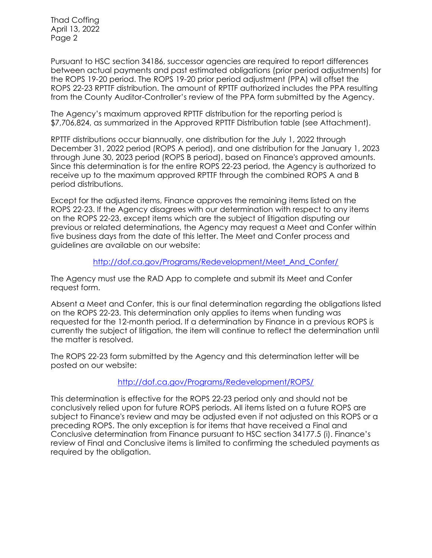Thad Coffing April 13, 2022 Page 2

Pursuant to HSC section 34186, successor agencies are required to report differences between actual payments and past estimated obligations (prior period adjustments) for the ROPS 19-20 period. The ROPS 19-20 prior period adjustment (PPA) will offset the ROPS 22-23 RPTTF distribution. The amount of RPTTF authorized includes the PPA resulting from the County Auditor-Controller's review of the PPA form submitted by the Agency.

The Agency's maximum approved RPTTF distribution for the reporting period is \$7,706,824, as summarized in the Approved RPTTF Distribution table (see Attachment).

RPTTF distributions occur biannually, one distribution for the July 1, 2022 through December 31, 2022 period (ROPS A period), and one distribution for the January 1, 2023 through June 30, 2023 period (ROPS B period), based on Finance's approved amounts. Since this determination is for the entire ROPS 22-23 period, the Agency is authorized to receive up to the maximum approved RPTTF through the combined ROPS A and B period distributions.

Except for the adjusted items, Finance approves the remaining items listed on the ROPS 22-23. If the Agency disagrees with our determination with respect to any items on the ROPS 22-23, except items which are the subject of litigation disputing our previous or related determinations, the Agency may request a Meet and Confer within five business days from the date of this letter. The Meet and Confer process and guidelines are available on our website:

### [http://dof.ca.gov/Programs/Redevelopment/Meet\\_And\\_Confer/](http://dof.ca.gov/Programs/Redevelopment/Meet_And_Confer/)

The Agency must use the RAD App to complete and submit its Meet and Confer request form.

Absent a Meet and Confer, this is our final determination regarding the obligations listed on the ROPS 22-23. This determination only applies to items when funding was requested for the 12-month period. If a determination by Finance in a previous ROPS is currently the subject of litigation, the item will continue to reflect the determination until the matter is resolved.

The ROPS 22-23 form submitted by the Agency and this determination letter will be posted on our website:

## <http://dof.ca.gov/Programs/Redevelopment/ROPS/>

This determination is effective for the ROPS 22-23 period only and should not be conclusively relied upon for future ROPS periods. All items listed on a future ROPS are subject to Finance's review and may be adjusted even if not adjusted on this ROPS or a preceding ROPS. The only exception is for items that have received a Final and Conclusive determination from Finance pursuant to HSC section 34177.5 (i). Finance's review of Final and Conclusive items is limited to confirming the scheduled payments as required by the obligation.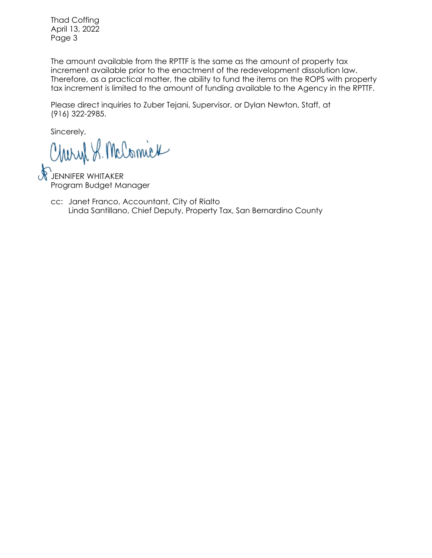Thad Coffing April 13, 2022 Page 3

The amount available from the RPTTF is the same as the amount of property tax increment available prior to the enactment of the redevelopment dissolution law. Therefore, as a practical matter, the ability to fund the items on the ROPS with property tax increment is limited to the amount of funding available to the Agency in the RPTTF.

Please direct inquiries to Zuber Tejani, Supervisor, or Dylan Newton, Staff, at (916) 322-2985.

Sincerely,

Charyl S. McComick

**JENNIFER WHITAKER** Program Budget Manager

Linda Santillano, Chief Deputy, Property Tax, San Bernardino County cc: Janet Franco, Accountant, City of Rialto